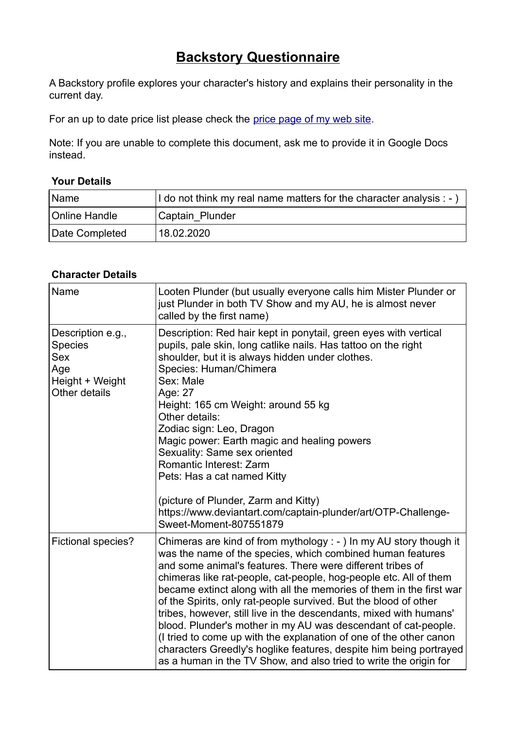## **Backstory Questionnaire**

A Backstory profile explores your character's history and explains their personality in the current day.

For an up to date price list please check the price page of my web site.

Note: If you are unable to complete this document, ask me to provide it in Google Docs instead.

## **Your Details**

| <u>Name</u>    | I do not think my real name matters for the character analysis : - ) |
|----------------|----------------------------------------------------------------------|
| Online Handle  | Captain Plunder                                                      |
| Date Completed | 18.02.2020                                                           |

## **Character Details**

| Name                                                                                         | Looten Plunder (but usually everyone calls him Mister Plunder or<br>just Plunder in both TV Show and my AU, he is almost never<br>called by the first name)                                                                                                                                                                                                                                                                                                                                                                                                                                                                                                                                                                                                             |
|----------------------------------------------------------------------------------------------|-------------------------------------------------------------------------------------------------------------------------------------------------------------------------------------------------------------------------------------------------------------------------------------------------------------------------------------------------------------------------------------------------------------------------------------------------------------------------------------------------------------------------------------------------------------------------------------------------------------------------------------------------------------------------------------------------------------------------------------------------------------------------|
| Description e.g.,<br><b>Species</b><br><b>Sex</b><br>Age<br>Height + Weight<br>Other details | Description: Red hair kept in ponytail, green eyes with vertical<br>pupils, pale skin, long catlike nails. Has tattoo on the right<br>shoulder, but it is always hidden under clothes.<br>Species: Human/Chimera<br>Sex: Male<br>Age: 27<br>Height: 165 cm Weight: around 55 kg<br>Other details:<br>Zodiac sign: Leo, Dragon<br>Magic power: Earth magic and healing powers<br>Sexuality: Same sex oriented<br><b>Romantic Interest: Zarm</b><br>Pets: Has a cat named Kitty<br>(picture of Plunder, Zarm and Kitty)<br>https://www.deviantart.com/captain-plunder/art/OTP-Challenge-<br>Sweet-Moment-807551879                                                                                                                                                        |
| Fictional species?                                                                           | Chimeras are kind of from mythology : - ) In my AU story though it<br>was the name of the species, which combined human features<br>and some animal's features. There were different tribes of<br>chimeras like rat-people, cat-people, hog-people etc. All of them<br>became extinct along with all the memories of them in the first war<br>of the Spirits, only rat-people survived. But the blood of other<br>tribes, however, still live in the descendants, mixed with humans'<br>blood. Plunder's mother in my AU was descendant of cat-people.<br>(I tried to come up with the explanation of one of the other canon<br>characters Greedly's hoglike features, despite him being portrayed<br>as a human in the TV Show, and also tried to write the origin for |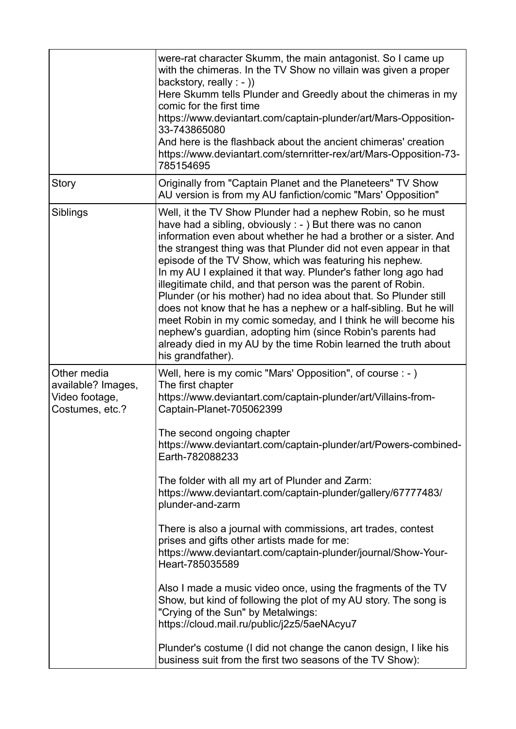|                                                                        | were-rat character Skumm, the main antagonist. So I came up<br>with the chimeras. In the TV Show no villain was given a proper<br>backstory, really $: -$ )<br>Here Skumm tells Plunder and Greedly about the chimeras in my<br>comic for the first time<br>https://www.deviantart.com/captain-plunder/art/Mars-Opposition-<br>33-743865080<br>And here is the flashback about the ancient chimeras' creation<br>https://www.deviantart.com/sternritter-rex/art/Mars-Opposition-73-<br>785154695                                                                                                                                                                                                                                                                                                                                   |
|------------------------------------------------------------------------|------------------------------------------------------------------------------------------------------------------------------------------------------------------------------------------------------------------------------------------------------------------------------------------------------------------------------------------------------------------------------------------------------------------------------------------------------------------------------------------------------------------------------------------------------------------------------------------------------------------------------------------------------------------------------------------------------------------------------------------------------------------------------------------------------------------------------------|
| Story                                                                  | Originally from "Captain Planet and the Planeteers" TV Show<br>AU version is from my AU fanfiction/comic "Mars' Opposition"                                                                                                                                                                                                                                                                                                                                                                                                                                                                                                                                                                                                                                                                                                        |
| Siblings                                                               | Well, it the TV Show Plunder had a nephew Robin, so he must<br>have had a sibling, obviously $: -$ ) But there was no canon<br>information even about whether he had a brother or a sister. And<br>the strangest thing was that Plunder did not even appear in that<br>episode of the TV Show, which was featuring his nephew.<br>In my AU I explained it that way. Plunder's father long ago had<br>illegitimate child, and that person was the parent of Robin.<br>Plunder (or his mother) had no idea about that. So Plunder still<br>does not know that he has a nephew or a half-sibling. But he will<br>meet Robin in my comic someday, and I think he will become his<br>nephew's guardian, adopting him (since Robin's parents had<br>already died in my AU by the time Robin learned the truth about<br>his grandfather). |
| Other media<br>available? Images,<br>Video footage,<br>Costumes, etc.? | Well, here is my comic "Mars' Opposition", of course : - )<br>The first chapter<br>https://www.deviantart.com/captain-plunder/art/Villains-from-<br>Captain-Planet-705062399                                                                                                                                                                                                                                                                                                                                                                                                                                                                                                                                                                                                                                                       |
|                                                                        | The second ongoing chapter<br>https://www.deviantart.com/captain-plunder/art/Powers-combined-<br>Earth-782088233                                                                                                                                                                                                                                                                                                                                                                                                                                                                                                                                                                                                                                                                                                                   |
|                                                                        | The folder with all my art of Plunder and Zarm:<br>https://www.deviantart.com/captain-plunder/gallery/67777483/<br>plunder-and-zarm                                                                                                                                                                                                                                                                                                                                                                                                                                                                                                                                                                                                                                                                                                |
|                                                                        | There is also a journal with commissions, art trades, contest<br>prises and gifts other artists made for me:<br>https://www.deviantart.com/captain-plunder/journal/Show-Your-<br>Heart-785035589                                                                                                                                                                                                                                                                                                                                                                                                                                                                                                                                                                                                                                   |
|                                                                        | Also I made a music video once, using the fragments of the TV<br>Show, but kind of following the plot of my AU story. The song is<br>"Crying of the Sun" by Metalwings:<br>https://cloud.mail.ru/public/j2z5/5aeNAcyu7                                                                                                                                                                                                                                                                                                                                                                                                                                                                                                                                                                                                             |
|                                                                        | Plunder's costume (I did not change the canon design, I like his<br>business suit from the first two seasons of the TV Show):                                                                                                                                                                                                                                                                                                                                                                                                                                                                                                                                                                                                                                                                                                      |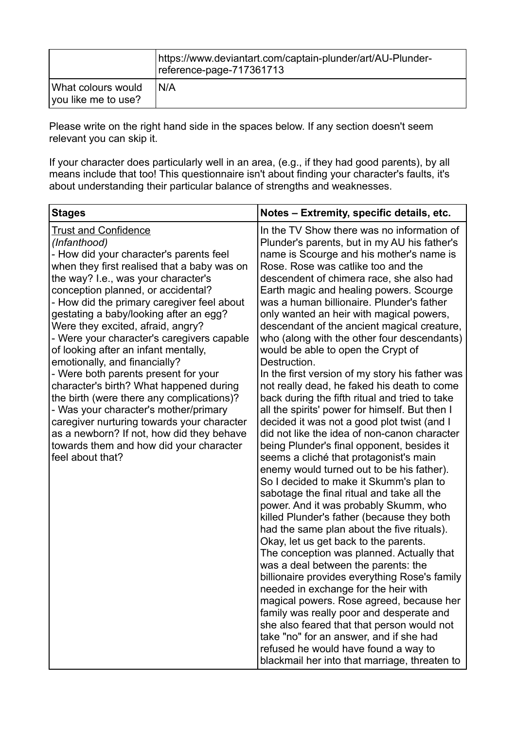|                                           | https://www.deviantart.com/captain-plunder/art/AU-Plunder-<br>reference-page-717361713 |
|-------------------------------------------|----------------------------------------------------------------------------------------|
| What colours would<br>vou like me to use? | N/A                                                                                    |

Please write on the right hand side in the spaces below. If any section doesn't seem relevant you can skip it.

If your character does particularly well in an area, (e.g., if they had good parents), by all means include that too! This questionnaire isn't about finding your character's faults, it's about understanding their particular balance of strengths and weaknesses.

| <b>Stages</b>                                                                                                                                                                                                                                                                                                                                                                                                                                                                                                                                                                                                                                                                                                                                                                                             | Notes - Extremity, specific details, etc.                                                                                                                                                                                                                                                                                                                                                                                                                                                                                                                                                                                                                                                                                                                                                                                                                                                                                                                                                                                                                                                                                                                                                                                                                                                                                                                                                                                                                                                                                                                                                                                                                                                |
|-----------------------------------------------------------------------------------------------------------------------------------------------------------------------------------------------------------------------------------------------------------------------------------------------------------------------------------------------------------------------------------------------------------------------------------------------------------------------------------------------------------------------------------------------------------------------------------------------------------------------------------------------------------------------------------------------------------------------------------------------------------------------------------------------------------|------------------------------------------------------------------------------------------------------------------------------------------------------------------------------------------------------------------------------------------------------------------------------------------------------------------------------------------------------------------------------------------------------------------------------------------------------------------------------------------------------------------------------------------------------------------------------------------------------------------------------------------------------------------------------------------------------------------------------------------------------------------------------------------------------------------------------------------------------------------------------------------------------------------------------------------------------------------------------------------------------------------------------------------------------------------------------------------------------------------------------------------------------------------------------------------------------------------------------------------------------------------------------------------------------------------------------------------------------------------------------------------------------------------------------------------------------------------------------------------------------------------------------------------------------------------------------------------------------------------------------------------------------------------------------------------|
| <b>Trust and Confidence</b><br>(Infanthood)<br>- How did your character's parents feel<br>when they first realised that a baby was on<br>the way? I.e., was your character's<br>conception planned, or accidental?<br>- How did the primary caregiver feel about<br>gestating a baby/looking after an egg?<br>Were they excited, afraid, angry?<br>- Were your character's caregivers capable<br>of looking after an infant mentally,<br>emotionally, and financially?<br>- Were both parents present for your<br>character's birth? What happened during<br>the birth (were there any complications)?<br>- Was your character's mother/primary<br>caregiver nurturing towards your character<br>as a newborn? If not, how did they behave<br>towards them and how did your character<br>feel about that? | In the TV Show there was no information of<br>Plunder's parents, but in my AU his father's<br>name is Scourge and his mother's name is<br>Rose. Rose was catlike too and the<br>descendent of chimera race, she also had<br>Earth magic and healing powers. Scourge<br>was a human billionaire. Plunder's father<br>only wanted an heir with magical powers,<br>descendant of the ancient magical creature,<br>who (along with the other four descendants)<br>would be able to open the Crypt of<br>Destruction.<br>In the first version of my story his father was<br>not really dead, he faked his death to come<br>back during the fifth ritual and tried to take<br>all the spirits' power for himself. But then I<br>decided it was not a good plot twist (and I<br>did not like the idea of non-canon character<br>being Plunder's final opponent, besides it<br>seems a cliché that protagonist's main<br>enemy would turned out to be his father).<br>So I decided to make it Skumm's plan to<br>sabotage the final ritual and take all the<br>power. And it was probably Skumm, who<br>killed Plunder's father (because they both<br>had the same plan about the five rituals).<br>Okay, let us get back to the parents.<br>The conception was planned. Actually that<br>was a deal between the parents: the<br>billionaire provides everything Rose's family<br>needed in exchange for the heir with<br>magical powers. Rose agreed, because her<br>family was really poor and desperate and<br>she also feared that that person would not<br>take "no" for an answer, and if she had<br>refused he would have found a way to<br>blackmail her into that marriage, threaten to |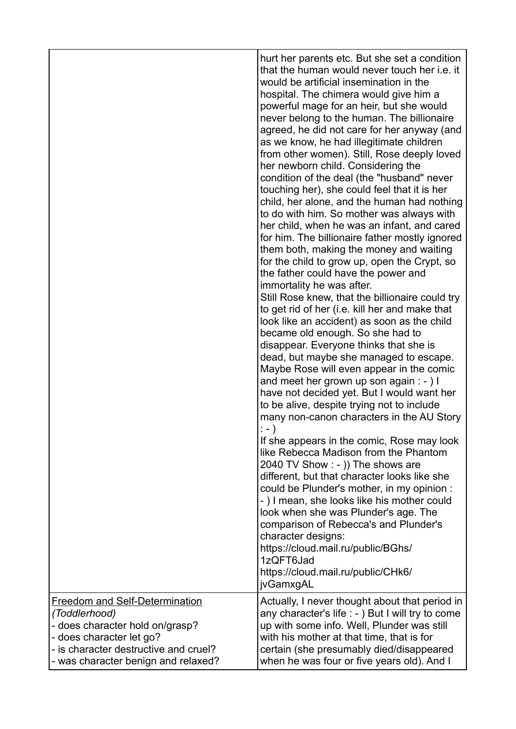|                                                                                                                                                                | hurt her parents etc. But she set a condition<br>that the human would never touch her i.e. it<br>would be artificial insemination in the<br>hospital. The chimera would give him a<br>powerful mage for an heir, but she would<br>never belong to the human. The billionaire<br>agreed, he did not care for her anyway (and<br>as we know, he had illegitimate children<br>from other women). Still, Rose deeply loved<br>her newborn child. Considering the<br>condition of the deal (the "husband" never<br>touching her), she could feel that it is her<br>child, her alone, and the human had nothing<br>to do with him. So mother was always with<br>her child, when he was an infant, and cared<br>for him. The billionaire father mostly ignored<br>them both, making the money and waiting<br>for the child to grow up, open the Crypt, so<br>the father could have the power and<br>immortality he was after.<br>Still Rose knew, that the billionaire could try<br>to get rid of her (i.e. kill her and make that<br>look like an accident) as soon as the child<br>became old enough. So she had to<br>disappear. Everyone thinks that she is<br>dead, but maybe she managed to escape.<br>Maybe Rose will even appear in the comic<br>and meet her grown up son again : - ) I<br>have not decided yet. But I would want her<br>to be alive, despite trying not to include<br>many non-canon characters in the AU Story<br>$:- )$<br>If she appears in the comic, Rose may look<br>like Rebecca Madison from the Phantom<br>2040 TV Show : - )) The shows are<br>different, but that character looks like she<br>could be Plunder's mother, in my opinion :<br>-) I mean, she looks like his mother could<br>look when she was Plunder's age. The<br>comparison of Rebecca's and Plunder's<br>character designs:<br>https://cloud.mail.ru/public/BGhs/<br>1zQFT6Jad<br>https://cloud.mail.ru/public/CHk6/ |
|----------------------------------------------------------------------------------------------------------------------------------------------------------------|----------------------------------------------------------------------------------------------------------------------------------------------------------------------------------------------------------------------------------------------------------------------------------------------------------------------------------------------------------------------------------------------------------------------------------------------------------------------------------------------------------------------------------------------------------------------------------------------------------------------------------------------------------------------------------------------------------------------------------------------------------------------------------------------------------------------------------------------------------------------------------------------------------------------------------------------------------------------------------------------------------------------------------------------------------------------------------------------------------------------------------------------------------------------------------------------------------------------------------------------------------------------------------------------------------------------------------------------------------------------------------------------------------------------------------------------------------------------------------------------------------------------------------------------------------------------------------------------------------------------------------------------------------------------------------------------------------------------------------------------------------------------------------------------------------------------------------------------------------------------------------------------------------------------|
| <b>Freedom and Self-Determination</b><br>(Toddlerhood)<br>- does character hold on/grasp?<br>- does character let go?<br>- is character destructive and cruel? | jvGamxgAL<br>Actually, I never thought about that period in<br>any character's life : - ) But I will try to come<br>up with some info. Well, Plunder was still<br>with his mother at that time, that is for<br>certain (she presumably died/disappeared                                                                                                                                                                                                                                                                                                                                                                                                                                                                                                                                                                                                                                                                                                                                                                                                                                                                                                                                                                                                                                                                                                                                                                                                                                                                                                                                                                                                                                                                                                                                                                                                                                                              |
| - was character benign and relaxed?                                                                                                                            | when he was four or five years old). And I                                                                                                                                                                                                                                                                                                                                                                                                                                                                                                                                                                                                                                                                                                                                                                                                                                                                                                                                                                                                                                                                                                                                                                                                                                                                                                                                                                                                                                                                                                                                                                                                                                                                                                                                                                                                                                                                           |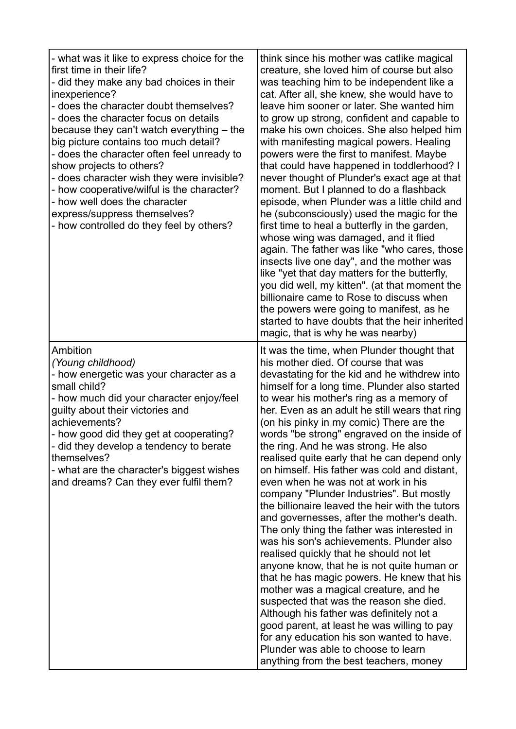| - what was it like to express choice for the<br>first time in their life?<br>- did they make any bad choices in their<br>inexperience?<br>- does the character doubt themselves?<br>- does the character focus on details<br>because they can't watch everything $-$ the<br>big picture contains too much detail?<br>- does the character often feel unready to<br>show projects to others?<br>- does character wish they were invisible?<br>- how cooperative/wilful is the character?<br>- how well does the character<br>express/suppress themselves?<br>- how controlled do they feel by others? | think since his mother was catlike magical<br>creature, she loved him of course but also<br>was teaching him to be independent like a<br>cat. After all, she knew, she would have to<br>leave him sooner or later. She wanted him<br>to grow up strong, confident and capable to<br>make his own choices. She also helped him<br>with manifesting magical powers. Healing<br>powers were the first to manifest. Maybe<br>that could have happened in toddlerhood? I<br>never thought of Plunder's exact age at that<br>moment. But I planned to do a flashback<br>episode, when Plunder was a little child and<br>he (subconsciously) used the magic for the<br>first time to heal a butterfly in the garden,<br>whose wing was damaged, and it flied<br>again. The father was like "who cares, those<br>insects live one day", and the mother was<br>like "yet that day matters for the butterfly,<br>you did well, my kitten". (at that moment the<br>billionaire came to Rose to discuss when<br>the powers were going to manifest, as he<br>started to have doubts that the heir inherited<br>magic, that is why he was nearby)                                                                                                                    |
|------------------------------------------------------------------------------------------------------------------------------------------------------------------------------------------------------------------------------------------------------------------------------------------------------------------------------------------------------------------------------------------------------------------------------------------------------------------------------------------------------------------------------------------------------------------------------------------------------|--------------------------------------------------------------------------------------------------------------------------------------------------------------------------------------------------------------------------------------------------------------------------------------------------------------------------------------------------------------------------------------------------------------------------------------------------------------------------------------------------------------------------------------------------------------------------------------------------------------------------------------------------------------------------------------------------------------------------------------------------------------------------------------------------------------------------------------------------------------------------------------------------------------------------------------------------------------------------------------------------------------------------------------------------------------------------------------------------------------------------------------------------------------------------------------------------------------------------------------------------------|
| Ambition<br>(Young childhood)<br>- how energetic was your character as a<br>small child?<br>- how much did your character enjoy/feel<br>guilty about their victories and<br>achievements?<br>- how good did they get at cooperating?<br>- did they develop a tendency to berate<br>themselves?<br>- what are the character's biggest wishes<br>and dreams? Can they ever fulfil them?                                                                                                                                                                                                                | It was the time, when Plunder thought that<br>his mother died. Of course that was<br>devastating for the kid and he withdrew into<br>himself for a long time. Plunder also started<br>to wear his mother's ring as a memory of<br>her. Even as an adult he still wears that ring<br>(on his pinky in my comic) There are the<br>words "be strong" engraved on the inside of<br>the ring. And he was strong. He also<br>realised quite early that he can depend only<br>on himself. His father was cold and distant,<br>even when he was not at work in his<br>company "Plunder Industries". But mostly<br>the billionaire leaved the heir with the tutors<br>and governesses, after the mother's death.<br>The only thing the father was interested in<br>was his son's achievements. Plunder also<br>realised quickly that he should not let<br>anyone know, that he is not quite human or<br>that he has magic powers. He knew that his<br>mother was a magical creature, and he<br>suspected that was the reason she died.<br>Although his father was definitely not a<br>good parent, at least he was willing to pay<br>for any education his son wanted to have.<br>Plunder was able to choose to learn<br>anything from the best teachers, money |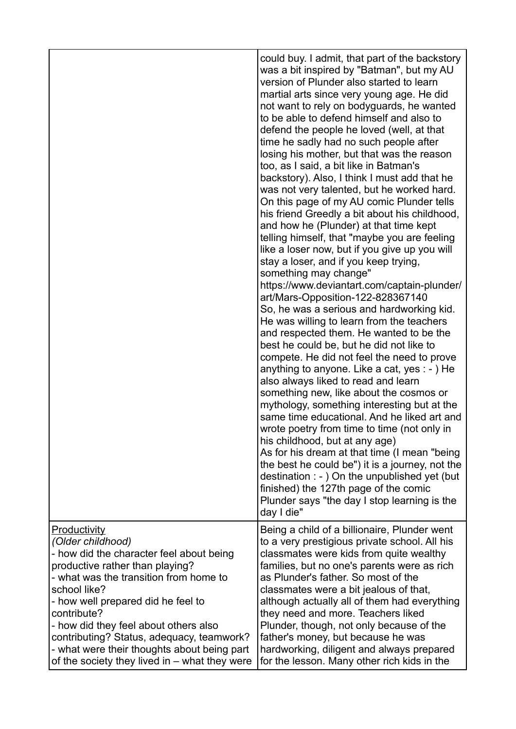|                                                                                                                                                                                                                                                                                                                                                                                                                         | could buy. I admit, that part of the backstory<br>was a bit inspired by "Batman", but my AU<br>version of Plunder also started to learn<br>martial arts since very young age. He did<br>not want to rely on bodyguards, he wanted<br>to be able to defend himself and also to<br>defend the people he loved (well, at that<br>time he sadly had no such people after<br>losing his mother, but that was the reason<br>too, as I said, a bit like in Batman's<br>backstory). Also, I think I must add that he<br>was not very talented, but he worked hard.<br>On this page of my AU comic Plunder tells<br>his friend Greedly a bit about his childhood,<br>and how he (Plunder) at that time kept<br>telling himself, that "maybe you are feeling<br>like a loser now, but if you give up you will<br>stay a loser, and if you keep trying,<br>something may change"<br>https://www.deviantart.com/captain-plunder/<br>art/Mars-Opposition-122-828367140<br>So, he was a serious and hardworking kid.<br>He was willing to learn from the teachers<br>and respected them. He wanted to be the<br>best he could be, but he did not like to<br>compete. He did not feel the need to prove<br>anything to anyone. Like a cat, yes $:$ - $)$ He<br>also always liked to read and learn<br>something new, like about the cosmos or<br>mythology, something interesting but at the<br>same time educational. And he liked art and<br>wrote poetry from time to time (not only in<br>his childhood, but at any age)<br>As for his dream at that time (I mean "being<br>the best he could be") it is a journey, not the<br>destination $: -$ ) On the unpublished yet (but<br>finished) the 127th page of the comic<br>Plunder says "the day I stop learning is the |
|-------------------------------------------------------------------------------------------------------------------------------------------------------------------------------------------------------------------------------------------------------------------------------------------------------------------------------------------------------------------------------------------------------------------------|--------------------------------------------------------------------------------------------------------------------------------------------------------------------------------------------------------------------------------------------------------------------------------------------------------------------------------------------------------------------------------------------------------------------------------------------------------------------------------------------------------------------------------------------------------------------------------------------------------------------------------------------------------------------------------------------------------------------------------------------------------------------------------------------------------------------------------------------------------------------------------------------------------------------------------------------------------------------------------------------------------------------------------------------------------------------------------------------------------------------------------------------------------------------------------------------------------------------------------------------------------------------------------------------------------------------------------------------------------------------------------------------------------------------------------------------------------------------------------------------------------------------------------------------------------------------------------------------------------------------------------------------------------------------------------------------------------------------------------------------------------------|
|                                                                                                                                                                                                                                                                                                                                                                                                                         | day I die"                                                                                                                                                                                                                                                                                                                                                                                                                                                                                                                                                                                                                                                                                                                                                                                                                                                                                                                                                                                                                                                                                                                                                                                                                                                                                                                                                                                                                                                                                                                                                                                                                                                                                                                                                   |
| Productivity<br>(Older childhood)<br>- how did the character feel about being<br>productive rather than playing?<br>- what was the transition from home to<br>school like?<br>- how well prepared did he feel to<br>contribute?<br>- how did they feel about others also<br>contributing? Status, adequacy, teamwork?<br>- what were their thoughts about being part<br>of the society they lived in $-$ what they were | Being a child of a billionaire, Plunder went<br>to a very prestigious private school. All his<br>classmates were kids from quite wealthy<br>families, but no one's parents were as rich<br>as Plunder's father. So most of the<br>classmates were a bit jealous of that,<br>although actually all of them had everything<br>they need and more. Teachers liked<br>Plunder, though, not only because of the<br>father's money, but because he was<br>hardworking, diligent and always prepared<br>for the lesson. Many other rich kids in the                                                                                                                                                                                                                                                                                                                                                                                                                                                                                                                                                                                                                                                                                                                                                                                                                                                                                                                                                                                                                                                                                                                                                                                                                 |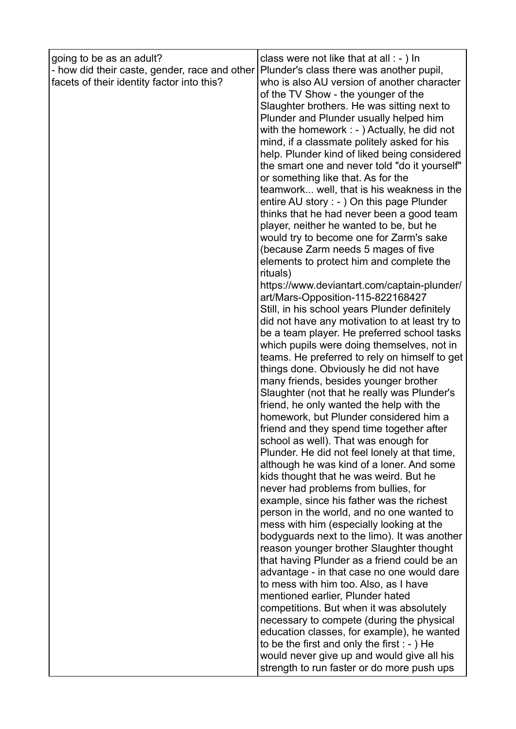| going to be as an adult?<br>- how did their caste, gender, race and other<br>facets of their identity factor into this? | class were not like that at all : - ) In<br>Plunder's class there was another pupil,<br>who is also AU version of another character<br>of the TV Show - the younger of the<br>Slaughter brothers. He was sitting next to<br>Plunder and Plunder usually helped him<br>with the homework $: -$ ) Actually, he did not<br>mind, if a classmate politely asked for his<br>help. Plunder kind of liked being considered<br>the smart one and never told "do it yourself"<br>or something like that. As for the<br>teamwork well, that is his weakness in the<br>entire AU story : - ) On this page Plunder<br>thinks that he had never been a good team<br>player, neither he wanted to be, but he<br>would try to become one for Zarm's sake<br>(because Zarm needs 5 mages of five<br>elements to protect him and complete the                                                                                                                                                                                                                                                                                                                                                                                                                                                                                                                                                                                                                                                                                                               |
|-------------------------------------------------------------------------------------------------------------------------|--------------------------------------------------------------------------------------------------------------------------------------------------------------------------------------------------------------------------------------------------------------------------------------------------------------------------------------------------------------------------------------------------------------------------------------------------------------------------------------------------------------------------------------------------------------------------------------------------------------------------------------------------------------------------------------------------------------------------------------------------------------------------------------------------------------------------------------------------------------------------------------------------------------------------------------------------------------------------------------------------------------------------------------------------------------------------------------------------------------------------------------------------------------------------------------------------------------------------------------------------------------------------------------------------------------------------------------------------------------------------------------------------------------------------------------------------------------------------------------------------------------------------------------------|
|                                                                                                                         | rituals)<br>https://www.deviantart.com/captain-plunder/<br>art/Mars-Opposition-115-822168427<br>Still, in his school years Plunder definitely<br>did not have any motivation to at least try to<br>be a team player. He preferred school tasks<br>which pupils were doing themselves, not in<br>teams. He preferred to rely on himself to get<br>things done. Obviously he did not have<br>many friends, besides younger brother<br>Slaughter (not that he really was Plunder's<br>friend, he only wanted the help with the<br>homework, but Plunder considered him a<br>friend and they spend time together after<br>school as well). That was enough for<br>Plunder. He did not feel lonely at that time,<br>although he was kind of a loner. And some<br>kids thought that he was weird. But he<br>never had problems from bullies, for<br>example, since his father was the richest<br>person in the world, and no one wanted to<br>mess with him (especially looking at the<br>bodyguards next to the limo). It was another<br>reason younger brother Slaughter thought<br>that having Plunder as a friend could be an<br>advantage - in that case no one would dare<br>to mess with him too. Also, as I have<br>mentioned earlier, Plunder hated<br>competitions. But when it was absolutely<br>necessary to compete (during the physical<br>education classes, for example), he wanted<br>to be the first and only the first $: -$ ) He<br>would never give up and would give all his<br>strength to run faster or do more push ups |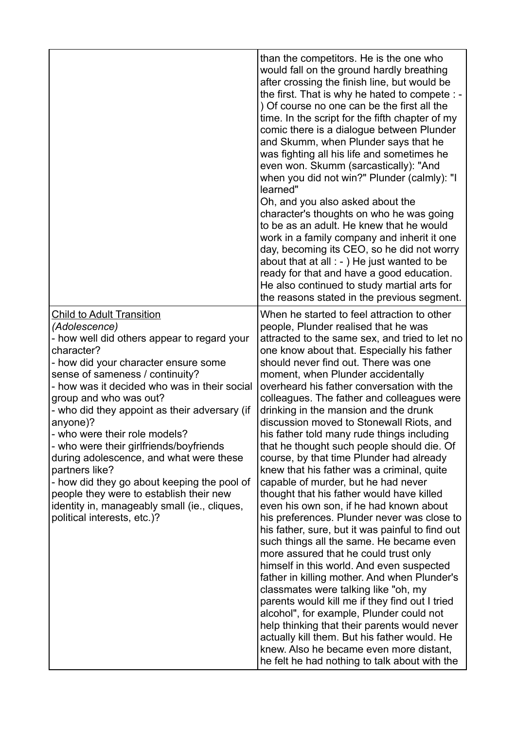|                                                                                                                                                                                                                                                                                                                                                                                                                                                                                                                                                                                                                                                    | than the competitors. He is the one who<br>would fall on the ground hardly breathing<br>after crossing the finish line, but would be<br>the first. That is why he hated to compete : -<br>) Of course no one can be the first all the<br>time. In the script for the fifth chapter of my<br>comic there is a dialogue between Plunder<br>and Skumm, when Plunder says that he<br>was fighting all his life and sometimes he<br>even won. Skumm (sarcastically): "And<br>when you did not win?" Plunder (calmly): "I<br>learned"<br>Oh, and you also asked about the<br>character's thoughts on who he was going<br>to be as an adult. He knew that he would<br>work in a family company and inherit it one<br>day, becoming its CEO, so he did not worry<br>about that at all $:$ - $)$ He just wanted to be<br>ready for that and have a good education.<br>He also continued to study martial arts for<br>the reasons stated in the previous segment.                                                                                                                                                                                                                                                                                                                                                                                                                                       |
|----------------------------------------------------------------------------------------------------------------------------------------------------------------------------------------------------------------------------------------------------------------------------------------------------------------------------------------------------------------------------------------------------------------------------------------------------------------------------------------------------------------------------------------------------------------------------------------------------------------------------------------------------|-----------------------------------------------------------------------------------------------------------------------------------------------------------------------------------------------------------------------------------------------------------------------------------------------------------------------------------------------------------------------------------------------------------------------------------------------------------------------------------------------------------------------------------------------------------------------------------------------------------------------------------------------------------------------------------------------------------------------------------------------------------------------------------------------------------------------------------------------------------------------------------------------------------------------------------------------------------------------------------------------------------------------------------------------------------------------------------------------------------------------------------------------------------------------------------------------------------------------------------------------------------------------------------------------------------------------------------------------------------------------------------------------|
| <b>Child to Adult Transition</b><br>(Adolescence)<br>- how well did others appear to regard your<br>character?<br>- how did your character ensure some<br>sense of sameness / continuity?<br>- how was it decided who was in their social<br>group and who was out?<br>- who did they appoint as their adversary (if<br>anyone)?<br>- who were their role models?<br>- who were their girlfriends/boyfriends<br>during adolescence, and what were these<br>partners like?<br>- how did they go about keeping the pool of<br>people they were to establish their new<br>identity in, manageably small (ie., cliques,<br>political interests, etc.)? | When he started to feel attraction to other<br>people, Plunder realised that he was<br>attracted to the same sex, and tried to let no<br>one know about that. Especially his father<br>should never find out. There was one<br>moment, when Plunder accidentally<br>overheard his father conversation with the<br>colleagues. The father and colleagues were<br>drinking in the mansion and the drunk<br>discussion moved to Stonewall Riots, and<br>his father told many rude things including<br>that he thought such people should die. Of<br>course, by that time Plunder had already<br>knew that his father was a criminal, quite<br>capable of murder, but he had never<br>thought that his father would have killed<br>even his own son, if he had known about<br>his preferences. Plunder never was close to<br>his father, sure, but it was painful to find out<br>such things all the same. He became even<br>more assured that he could trust only<br>himself in this world. And even suspected<br>father in killing mother. And when Plunder's<br>classmates were talking like "oh, my<br>parents would kill me if they find out I tried<br>alcohol", for example, Plunder could not<br>help thinking that their parents would never<br>actually kill them. But his father would. He<br>knew. Also he became even more distant,<br>he felt he had nothing to talk about with the |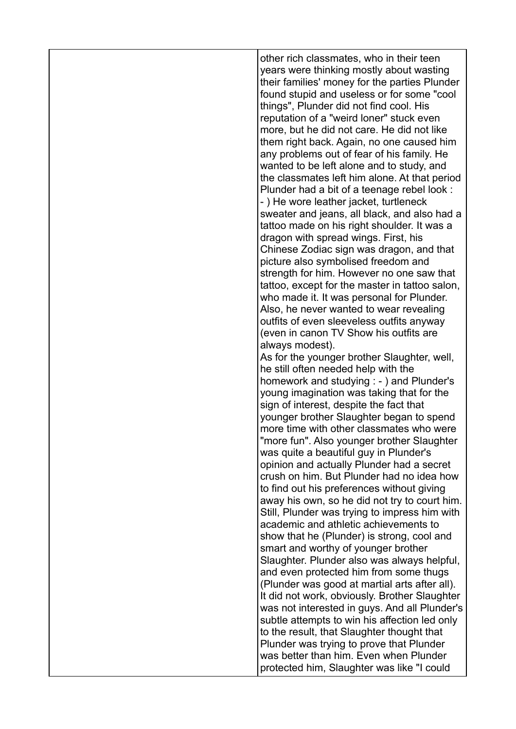| other rich classmates, who in their teen<br>years were thinking mostly about wasting<br>their families' money for the parties Plunder<br>found stupid and useless or for some "cool<br>things", Plunder did not find cool. His<br>reputation of a "weird loner" stuck even<br>more, but he did not care. He did not like<br>them right back. Again, no one caused him<br>any problems out of fear of his family. He<br>wanted to be left alone and to study, and<br>the classmates left him alone. At that period<br>Plunder had a bit of a teenage rebel look :<br>-) He wore leather jacket, turtleneck<br>sweater and jeans, all black, and also had a<br>tattoo made on his right shoulder. It was a<br>dragon with spread wings. First, his<br>Chinese Zodiac sign was dragon, and that<br>picture also symbolised freedom and<br>strength for him. However no one saw that<br>tattoo, except for the master in tattoo salon,<br>who made it. It was personal for Plunder.<br>Also, he never wanted to wear revealing<br>outfits of even sleeveless outfits anyway<br>(even in canon TV Show his outfits are<br>always modest).<br>As for the younger brother Slaughter, well,<br>he still often needed help with the<br>homework and studying : - ) and Plunder's<br>young imagination was taking that for the<br>sign of interest, despite the fact that<br>younger brother Slaughter began to spend<br>more time with other classmates who were<br>'more fun". Also younger brother Slaughter<br>was quite a beautiful guy in Plunder's<br>opinion and actually Plunder had a secret<br>crush on him. But Plunder had no idea how<br>to find out his preferences without giving<br>away his own, so he did not try to court him.<br>Still, Plunder was trying to impress him with<br>academic and athletic achievements to<br>show that he (Plunder) is strong, cool and<br>smart and worthy of younger brother<br>Slaughter. Plunder also was always helpful,<br>and even protected him from some thugs<br>(Plunder was good at martial arts after all).<br>It did not work, obviously. Brother Slaughter<br>was not interested in guys. And all Plunder's<br>subtle attempts to win his affection led only |
|----------------------------------------------------------------------------------------------------------------------------------------------------------------------------------------------------------------------------------------------------------------------------------------------------------------------------------------------------------------------------------------------------------------------------------------------------------------------------------------------------------------------------------------------------------------------------------------------------------------------------------------------------------------------------------------------------------------------------------------------------------------------------------------------------------------------------------------------------------------------------------------------------------------------------------------------------------------------------------------------------------------------------------------------------------------------------------------------------------------------------------------------------------------------------------------------------------------------------------------------------------------------------------------------------------------------------------------------------------------------------------------------------------------------------------------------------------------------------------------------------------------------------------------------------------------------------------------------------------------------------------------------------------------------------------------------------------------------------------------------------------------------------------------------------------------------------------------------------------------------------------------------------------------------------------------------------------------------------------------------------------------------------------------------------------------------------------------------------------------------------------------------------------------------------------------------------------------------|
| to the result, that Slaughter thought that                                                                                                                                                                                                                                                                                                                                                                                                                                                                                                                                                                                                                                                                                                                                                                                                                                                                                                                                                                                                                                                                                                                                                                                                                                                                                                                                                                                                                                                                                                                                                                                                                                                                                                                                                                                                                                                                                                                                                                                                                                                                                                                                                                           |
| Plunder was trying to prove that Plunder<br>was better than him. Even when Plunder<br>protected him, Slaughter was like "I could                                                                                                                                                                                                                                                                                                                                                                                                                                                                                                                                                                                                                                                                                                                                                                                                                                                                                                                                                                                                                                                                                                                                                                                                                                                                                                                                                                                                                                                                                                                                                                                                                                                                                                                                                                                                                                                                                                                                                                                                                                                                                     |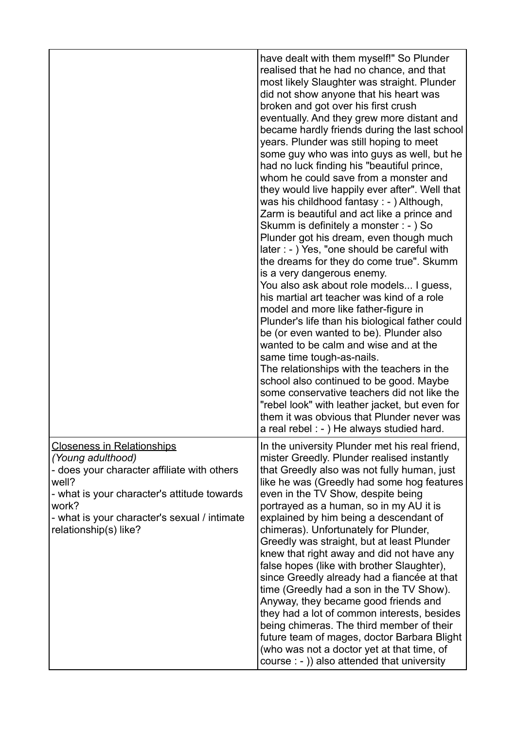|                                                                                                                                                                                                                                                 | have dealt with them myself!" So Plunder<br>realised that he had no chance, and that<br>most likely Slaughter was straight. Plunder<br>did not show anyone that his heart was<br>broken and got over his first crush<br>eventually. And they grew more distant and<br>became hardly friends during the last school<br>years. Plunder was still hoping to meet<br>some guy who was into guys as well, but he<br>had no luck finding his "beautiful prince,<br>whom he could save from a monster and<br>they would live happily ever after". Well that<br>was his childhood fantasy: - ) Although,<br>Zarm is beautiful and act like a prince and<br>Skumm is definitely a monster : - ) So<br>Plunder got his dream, even though much<br>later : - ) Yes, "one should be careful with<br>the dreams for they do come true". Skumm<br>is a very dangerous enemy.<br>You also ask about role models I guess,<br>his martial art teacher was kind of a role<br>model and more like father-figure in<br>Plunder's life than his biological father could<br>be (or even wanted to be). Plunder also<br>wanted to be calm and wise and at the<br>same time tough-as-nails.<br>The relationships with the teachers in the<br>school also continued to be good. Maybe<br>some conservative teachers did not like the<br>"rebel look" with leather jacket, but even for<br>them it was obvious that Plunder never was<br>a real rebel : - ) He always studied hard. |
|-------------------------------------------------------------------------------------------------------------------------------------------------------------------------------------------------------------------------------------------------|-----------------------------------------------------------------------------------------------------------------------------------------------------------------------------------------------------------------------------------------------------------------------------------------------------------------------------------------------------------------------------------------------------------------------------------------------------------------------------------------------------------------------------------------------------------------------------------------------------------------------------------------------------------------------------------------------------------------------------------------------------------------------------------------------------------------------------------------------------------------------------------------------------------------------------------------------------------------------------------------------------------------------------------------------------------------------------------------------------------------------------------------------------------------------------------------------------------------------------------------------------------------------------------------------------------------------------------------------------------------------------------------------------------------------------------------------------------|
| <b>Closeness in Relationships</b><br>(Young adulthood)<br>- does your character affiliate with others<br>well?<br>- what is your character's attitude towards<br>work?<br>- what is your character's sexual / intimate<br>relationship(s) like? | In the university Plunder met his real friend,<br>mister Greedly. Plunder realised instantly<br>that Greedly also was not fully human, just<br>like he was (Greedly had some hog features<br>even in the TV Show, despite being<br>portrayed as a human, so in my AU it is<br>explained by him being a descendant of<br>chimeras). Unfortunately for Plunder,<br>Greedly was straight, but at least Plunder<br>knew that right away and did not have any<br>false hopes (like with brother Slaughter),<br>since Greedly already had a fiancée at that<br>time (Greedly had a son in the TV Show).<br>Anyway, they became good friends and<br>they had a lot of common interests, besides<br>being chimeras. The third member of their<br>future team of mages, doctor Barbara Blight<br>(who was not a doctor yet at that time, of<br>course : - )) also attended that university                                                                                                                                                                                                                                                                                                                                                                                                                                                                                                                                                                         |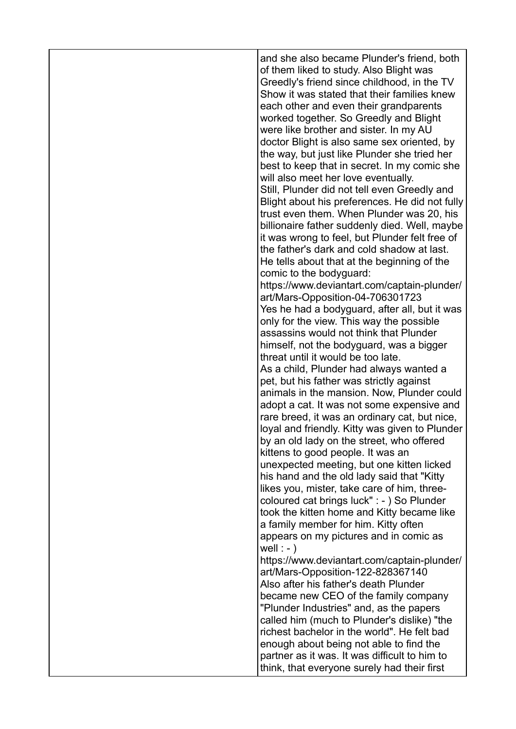| and she also became Plunder's friend, both<br>of them liked to study. Also Blight was<br>Greedly's friend since childhood, in the TV<br>Show it was stated that their families knew<br>each other and even their grandparents<br>worked together. So Greedly and Blight<br>were like brother and sister. In my AU<br>doctor Blight is also same sex oriented, by<br>the way, but just like Plunder she tried her<br>best to keep that in secret. In my comic she<br>will also meet her love eventually.<br>Still, Plunder did not tell even Greedly and<br>Blight about his preferences. He did not fully<br>trust even them. When Plunder was 20, his<br>billionaire father suddenly died. Well, maybe<br>it was wrong to feel, but Plunder felt free of<br>the father's dark and cold shadow at last.<br>He tells about that at the beginning of the<br>comic to the bodyguard:<br>https://www.deviantart.com/captain-plunder/<br>art/Mars-Opposition-04-706301723<br>Yes he had a bodyguard, after all, but it was<br>only for the view. This way the possible<br>assassins would not think that Plunder<br>himself, not the bodyguard, was a bigger<br>threat until it would be too late.<br>As a child, Plunder had always wanted a<br>pet, but his father was strictly against<br>animals in the mansion. Now, Plunder could<br>adopt a cat. It was not some expensive and<br>rare breed, it was an ordinary cat, but nice,<br>loyal and friendly. Kitty was given to Plunder<br>by an old lady on the street, who offered<br>kittens to good people. It was an<br>unexpected meeting, but one kitten licked<br>his hand and the old lady said that "Kitty"<br>likes you, mister, take care of him, three-<br>coloured cat brings luck" : - ) So Plunder<br>took the kitten home and Kitty became like<br>a family member for him. Kitty often<br>appears on my pictures and in comic as<br>well : $-$ )<br>https://www.deviantart.com/captain-plunder/<br>art/Mars-Opposition-122-828367140<br>Also after his father's death Plunder<br>became new CEO of the family company<br>"Plunder Industries" and, as the papers<br>called him (much to Plunder's dislike) "the<br>richest bachelor in the world". He felt bad<br>enough about being not able to find the |
|-------------------------------------------------------------------------------------------------------------------------------------------------------------------------------------------------------------------------------------------------------------------------------------------------------------------------------------------------------------------------------------------------------------------------------------------------------------------------------------------------------------------------------------------------------------------------------------------------------------------------------------------------------------------------------------------------------------------------------------------------------------------------------------------------------------------------------------------------------------------------------------------------------------------------------------------------------------------------------------------------------------------------------------------------------------------------------------------------------------------------------------------------------------------------------------------------------------------------------------------------------------------------------------------------------------------------------------------------------------------------------------------------------------------------------------------------------------------------------------------------------------------------------------------------------------------------------------------------------------------------------------------------------------------------------------------------------------------------------------------------------------------------------------------------------------------------------------------------------------------------------------------------------------------------------------------------------------------------------------------------------------------------------------------------------------------------------------------------------------------------------------------------------------------------------------------------------------------------------------------------------------------------|
| partner as it was. It was difficult to him to<br>think, that everyone surely had their first                                                                                                                                                                                                                                                                                                                                                                                                                                                                                                                                                                                                                                                                                                                                                                                                                                                                                                                                                                                                                                                                                                                                                                                                                                                                                                                                                                                                                                                                                                                                                                                                                                                                                                                                                                                                                                                                                                                                                                                                                                                                                                                                                                            |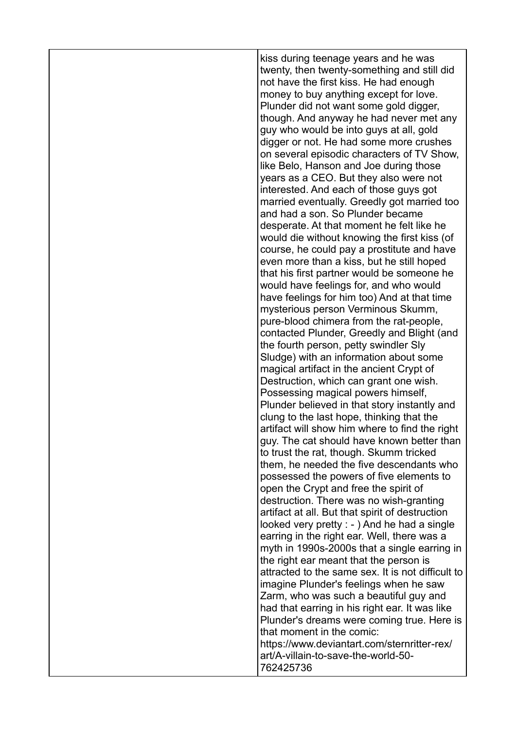| kiss during teenage years and he was<br>twenty, then twenty-something and still did<br>not have the first kiss. He had enough<br>money to buy anything except for love.<br>Plunder did not want some gold digger,<br>though. And anyway he had never met any<br>guy who would be into guys at all, gold<br>digger or not. He had some more crushes<br>on several episodic characters of TV Show,<br>like Belo, Hanson and Joe during those<br>years as a CEO. But they also were not<br>interested. And each of those guys got<br>married eventually. Greedly got married too<br>and had a son. So Plunder became<br>desperate. At that moment he felt like he<br>would die without knowing the first kiss (of<br>course, he could pay a prostitute and have<br>even more than a kiss, but he still hoped<br>that his first partner would be someone he<br>would have feelings for, and who would<br>have feelings for him too) And at that time<br>mysterious person Verminous Skumm,<br>pure-blood chimera from the rat-people,<br>contacted Plunder, Greedly and Blight (and<br>the fourth person, petty swindler Sly<br>Sludge) with an information about some<br>magical artifact in the ancient Crypt of<br>Destruction, which can grant one wish.<br>Possessing magical powers himself,<br>Plunder believed in that story instantly and<br>clung to the last hope, thinking that the<br>artifact will show him where to find the right<br>guy. The cat should have known better than<br>to trust the rat, though. Skumm tricked<br>them, he needed the five descendants who<br>possessed the powers of five elements to<br>open the Crypt and free the spirit of<br>destruction. There was no wish-granting<br>artifact at all. But that spirit of destruction<br>looked very pretty : - ) And he had a single<br>earring in the right ear. Well, there was a<br>myth in 1990s-2000s that a single earring in<br>the right ear meant that the person is<br>attracted to the same sex. It is not difficult to<br>imagine Plunder's feelings when he saw<br>Zarm, who was such a beautiful guy and<br>had that earring in his right ear. It was like<br>Plunder's dreams were coming true. Here is<br>that moment in the comic:<br>https://www.deviantart.com/sternritter-rex/<br>art/A-villain-to-save-the-world-50- |
|----------------------------------------------------------------------------------------------------------------------------------------------------------------------------------------------------------------------------------------------------------------------------------------------------------------------------------------------------------------------------------------------------------------------------------------------------------------------------------------------------------------------------------------------------------------------------------------------------------------------------------------------------------------------------------------------------------------------------------------------------------------------------------------------------------------------------------------------------------------------------------------------------------------------------------------------------------------------------------------------------------------------------------------------------------------------------------------------------------------------------------------------------------------------------------------------------------------------------------------------------------------------------------------------------------------------------------------------------------------------------------------------------------------------------------------------------------------------------------------------------------------------------------------------------------------------------------------------------------------------------------------------------------------------------------------------------------------------------------------------------------------------------------------------------------------------------------------------------------------------------------------------------------------------------------------------------------------------------------------------------------------------------------------------------------------------------------------------------------------------------------------------------------------------------------------------------------------------------------------------------------------------------------------------------------------------------|
| 762425736                                                                                                                                                                                                                                                                                                                                                                                                                                                                                                                                                                                                                                                                                                                                                                                                                                                                                                                                                                                                                                                                                                                                                                                                                                                                                                                                                                                                                                                                                                                                                                                                                                                                                                                                                                                                                                                                                                                                                                                                                                                                                                                                                                                                                                                                                                                  |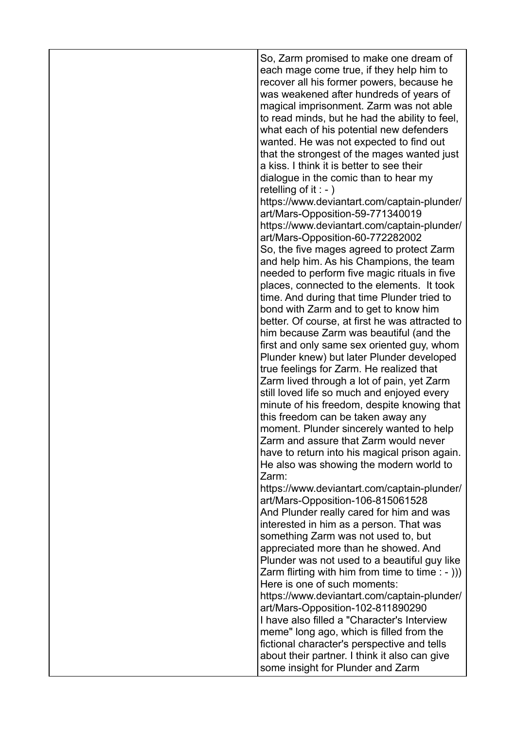| So, Zarm promised to make one dream of<br>each mage come true, if they help him to<br>recover all his former powers, because he<br>was weakened after hundreds of years of<br>magical imprisonment. Zarm was not able<br>to read minds, but he had the ability to feel,<br>what each of his potential new defenders<br>wanted. He was not expected to find out<br>that the strongest of the mages wanted just<br>a kiss. I think it is better to see their<br>dialogue in the comic than to hear my<br>retelling of it : - $)$<br>https://www.deviantart.com/captain-plunder/<br>art/Mars-Opposition-59-771340019<br>https://www.deviantart.com/captain-plunder/                                                 |
|------------------------------------------------------------------------------------------------------------------------------------------------------------------------------------------------------------------------------------------------------------------------------------------------------------------------------------------------------------------------------------------------------------------------------------------------------------------------------------------------------------------------------------------------------------------------------------------------------------------------------------------------------------------------------------------------------------------|
| art/Mars-Opposition-60-772282002<br>So, the five mages agreed to protect Zarm<br>and help him. As his Champions, the team<br>needed to perform five magic rituals in five<br>places, connected to the elements. It took<br>time. And during that time Plunder tried to<br>bond with Zarm and to get to know him<br>better. Of course, at first he was attracted to<br>him because Zarm was beautiful (and the<br>first and only same sex oriented guy, whom<br>Plunder knew) but later Plunder developed<br>true feelings for Zarm. He realized that<br>Zarm lived through a lot of pain, yet Zarm<br>still loved life so much and enjoyed every<br>minute of his freedom, despite knowing that                  |
| this freedom can be taken away any<br>moment. Plunder sincerely wanted to help<br>Zarm and assure that Zarm would never<br>have to return into his magical prison again.<br>He also was showing the modern world to<br>Zarm:                                                                                                                                                                                                                                                                                                                                                                                                                                                                                     |
| https://www.deviantart.com/captain-plunder/<br>art/Mars-Opposition-106-815061528<br>And Plunder really cared for him and was<br>interested in him as a person. That was<br>something Zarm was not used to, but<br>appreciated more than he showed. And<br>Plunder was not used to a beautiful guy like<br>Zarm flirting with him from time to time $: -))$ )<br>Here is one of such moments:<br>https://www.deviantart.com/captain-plunder/<br>art/Mars-Opposition-102-811890290<br>I have also filled a "Character's Interview<br>meme" long ago, which is filled from the<br>fictional character's perspective and tells<br>about their partner. I think it also can give<br>some insight for Plunder and Zarm |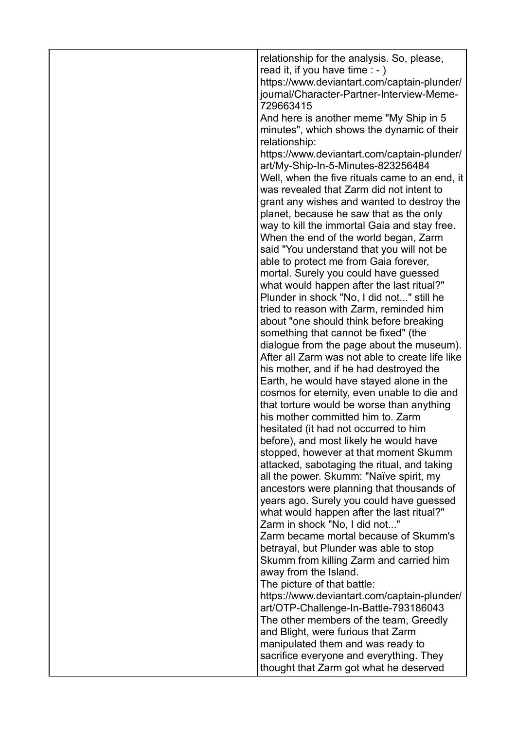| relationship for the analysis. So, please,<br>read it, if you have time $: -)$<br>https://www.deviantart.com/captain-plunder/<br>journal/Character-Partner-Interview-Meme-<br>729663415<br>And here is another meme "My Ship in 5<br>minutes", which shows the dynamic of their<br>relationship:<br>https://www.deviantart.com/captain-plunder/<br>art/My-Ship-In-5-Minutes-823256484<br>Well, when the five rituals came to an end, it<br>was revealed that Zarm did not intent to<br>grant any wishes and wanted to destroy the<br>planet, because he saw that as the only<br>way to kill the immortal Gaia and stay free.<br>When the end of the world began, Zarm<br>said "You understand that you will not be<br>able to protect me from Gaia forever,<br>mortal. Surely you could have guessed<br>what would happen after the last ritual?"<br>Plunder in shock "No, I did not" still he<br>tried to reason with Zarm, reminded him<br>about "one should think before breaking<br>something that cannot be fixed" (the<br>dialogue from the page about the museum).<br>After all Zarm was not able to create life like<br>his mother, and if he had destroyed the<br>Earth, he would have stayed alone in the<br>cosmos for eternity, even unable to die and<br>that torture would be worse than anything<br>his mother committed him to. Zarm<br>hesitated (it had not occurred to him<br>before), and most likely he would have<br>stopped, however at that moment Skumm<br>attacked, sabotaging the ritual, and taking<br>all the power. Skumm: "Naïve spirit, my<br>ancestors were planning that thousands of<br>years ago. Surely you could have guessed<br>what would happen after the last ritual?"<br>Zarm in shock "No, I did not"<br>Zarm became mortal because of Skumm's<br>betrayal, but Plunder was able to stop<br>Skumm from killing Zarm and carried him<br>away from the Island.<br>The picture of that battle:<br>https://www.deviantart.com/captain-plunder/<br>art/OTP-Challenge-In-Battle-793186043 |
|---------------------------------------------------------------------------------------------------------------------------------------------------------------------------------------------------------------------------------------------------------------------------------------------------------------------------------------------------------------------------------------------------------------------------------------------------------------------------------------------------------------------------------------------------------------------------------------------------------------------------------------------------------------------------------------------------------------------------------------------------------------------------------------------------------------------------------------------------------------------------------------------------------------------------------------------------------------------------------------------------------------------------------------------------------------------------------------------------------------------------------------------------------------------------------------------------------------------------------------------------------------------------------------------------------------------------------------------------------------------------------------------------------------------------------------------------------------------------------------------------------------------------------------------------------------------------------------------------------------------------------------------------------------------------------------------------------------------------------------------------------------------------------------------------------------------------------------------------------------------------------------------------------------------------------------------------------------------------------------------------------------------------------|
| The other members of the team, Greedly<br>and Blight, were furious that Zarm<br>manipulated them and was ready to<br>sacrifice everyone and everything. They<br>thought that Zarm got what he deserved                                                                                                                                                                                                                                                                                                                                                                                                                                                                                                                                                                                                                                                                                                                                                                                                                                                                                                                                                                                                                                                                                                                                                                                                                                                                                                                                                                                                                                                                                                                                                                                                                                                                                                                                                                                                                          |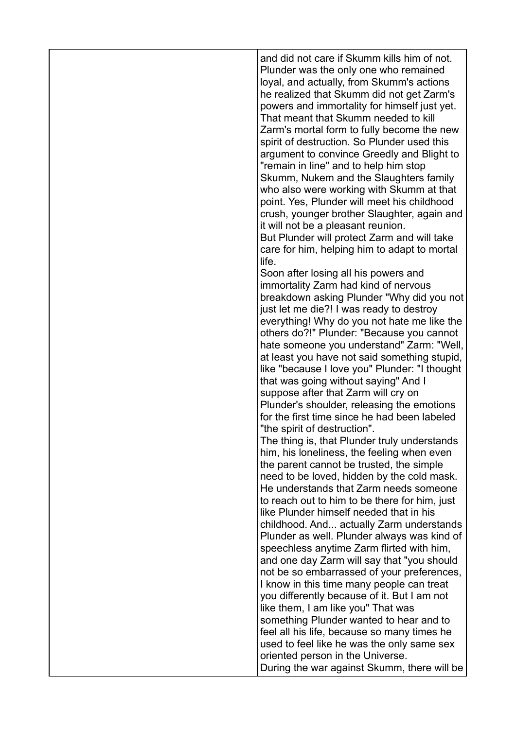and did not care if Skumm kills him of not. Plunder was the only one who remained loyal, and actually, from Skumm's actions he realized that Skumm did not get Zarm's powers and immortality for himself just yet. That meant that Skumm needed to kill Zarm's mortal form to fully become the new spirit of destruction. So Plunder used this argument to convince Greedly and Blight to "remain in line" and to help him stop Skumm, Nukem and the Slaughters family who also were working with Skumm at that point. Yes, Plunder will meet his childhood crush, younger brother Slaughter, again and it will not be a pleasant reunion. But Plunder will protect Zarm and will take care for him, helping him to adapt to mortal life. Soon after losing all his powers and immortality Zarm had kind of nervous breakdown asking Plunder "Why did you not just let me die?! I was ready to destroy everything! Why do you not hate me like the others do?!" Plunder: "Because you cannot hate someone you understand" Zarm: "Well, at least you have not said something stupid, like "because I love you" Plunder: "I thought that was going without saying" And I suppose after that Zarm will cry on Plunder's shoulder, releasing the emotions for the first time since he had been labeled "the spirit of destruction". The thing is, that Plunder truly understands him, his loneliness, the feeling when even the parent cannot be trusted, the simple need to be loved, hidden by the cold mask. He understands that Zarm needs someone to reach out to him to be there for him, just like Plunder himself needed that in his childhood. And... actually Zarm understands Plunder as well. Plunder always was kind of speechless anytime Zarm flirted with him, and one day Zarm will say that "you should not be so embarrassed of your preferences, I know in this time many people can treat you differently because of it. But I am not like them, I am like you" That was something Plunder wanted to hear and to feel all his life, because so many times he used to feel like he was the only same sex oriented person in the Universe.

During the war against Skumm, there will be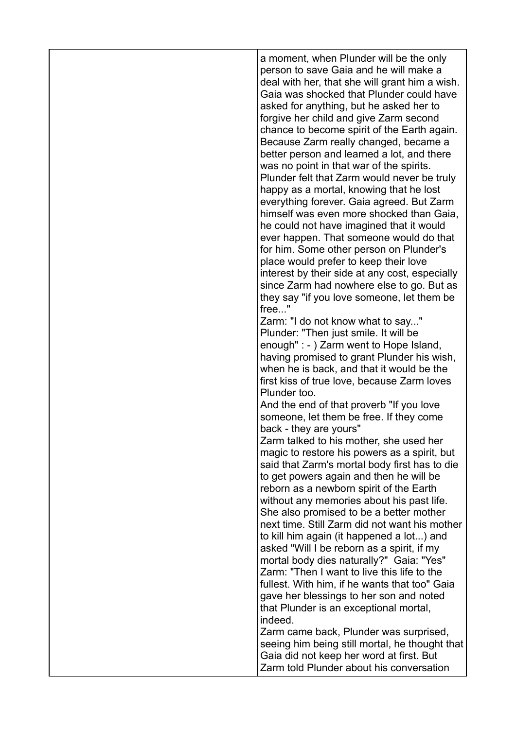| a moment, when Plunder will be the only<br>person to save Gaia and he will make a<br>deal with her, that she will grant him a wish.<br>Gaia was shocked that Plunder could have<br>asked for anything, but he asked her to<br>forgive her child and give Zarm second<br>chance to become spirit of the Earth again.<br>Because Zarm really changed, became a<br>better person and learned a lot, and there<br>was no point in that war of the spirits.<br>Plunder felt that Zarm would never be truly<br>happy as a mortal, knowing that he lost<br>everything forever. Gaia agreed. But Zarm<br>himself was even more shocked than Gaia,<br>he could not have imagined that it would<br>ever happen. That someone would do that<br>for him. Some other person on Plunder's<br>place would prefer to keep their love<br>interest by their side at any cost, especially<br>since Zarm had nowhere else to go. But as<br>they say "if you love someone, let them be<br>free"<br>Zarm: "I do not know what to say"<br>Plunder: "Then just smile. It will be<br>enough" : - ) Zarm went to Hope Island,<br>having promised to grant Plunder his wish,<br>when he is back, and that it would be the<br>first kiss of true love, because Zarm loves<br>Plunder too.<br>And the end of that proverb "If you love<br>someone, let them be free. If they come<br>back - they are yours"<br>Zarm talked to his mother, she used her<br>magic to restore his powers as a spirit, but<br>said that Zarm's mortal body first has to die<br>to get powers again and then he will be<br>reborn as a newborn spirit of the Earth<br>without any memories about his past life.<br>She also promised to be a better mother<br>next time. Still Zarm did not want his mother<br>to kill him again (it happened a lot) and<br>asked "Will I be reborn as a spirit, if my<br>mortal body dies naturally?" Gaia: "Yes"<br>Zarm: "Then I want to live this life to the |
|-------------------------------------------------------------------------------------------------------------------------------------------------------------------------------------------------------------------------------------------------------------------------------------------------------------------------------------------------------------------------------------------------------------------------------------------------------------------------------------------------------------------------------------------------------------------------------------------------------------------------------------------------------------------------------------------------------------------------------------------------------------------------------------------------------------------------------------------------------------------------------------------------------------------------------------------------------------------------------------------------------------------------------------------------------------------------------------------------------------------------------------------------------------------------------------------------------------------------------------------------------------------------------------------------------------------------------------------------------------------------------------------------------------------------------------------------------------------------------------------------------------------------------------------------------------------------------------------------------------------------------------------------------------------------------------------------------------------------------------------------------------------------------------------------------------------------------------------------------------------------------------------------------------------------------------------------|
| fullest. With him, if he wants that too" Gaia                                                                                                                                                                                                                                                                                                                                                                                                                                                                                                                                                                                                                                                                                                                                                                                                                                                                                                                                                                                                                                                                                                                                                                                                                                                                                                                                                                                                                                                                                                                                                                                                                                                                                                                                                                                                                                                                                                   |
| gave her blessings to her son and noted<br>that Plunder is an exceptional mortal,<br>indeed.<br>Zarm came back, Plunder was surprised,<br>seeing him being still mortal, he thought that                                                                                                                                                                                                                                                                                                                                                                                                                                                                                                                                                                                                                                                                                                                                                                                                                                                                                                                                                                                                                                                                                                                                                                                                                                                                                                                                                                                                                                                                                                                                                                                                                                                                                                                                                        |
| Gaia did not keep her word at first. But<br>Zarm told Plunder about his conversation                                                                                                                                                                                                                                                                                                                                                                                                                                                                                                                                                                                                                                                                                                                                                                                                                                                                                                                                                                                                                                                                                                                                                                                                                                                                                                                                                                                                                                                                                                                                                                                                                                                                                                                                                                                                                                                            |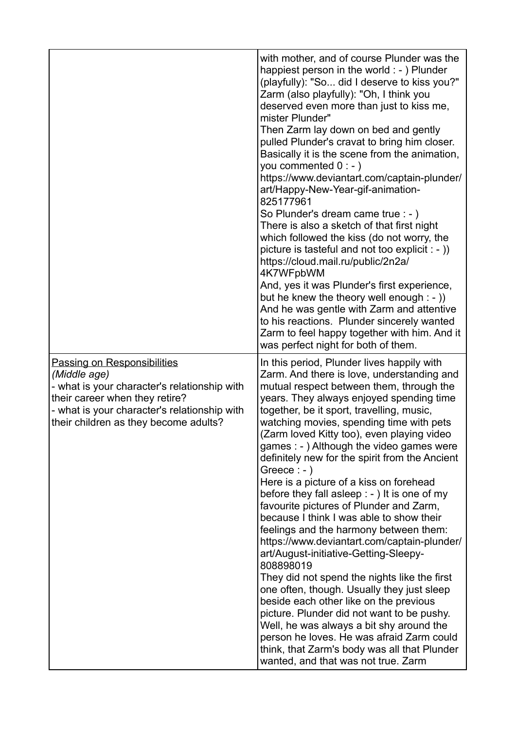|                                                                                                                                                                                                                               | with mother, and of course Plunder was the<br>happiest person in the world $:$ - $)$ Plunder<br>(playfully): "So did I deserve to kiss you?"<br>Zarm (also playfully): "Oh, I think you<br>deserved even more than just to kiss me,<br>mister Plunder"<br>Then Zarm lay down on bed and gently<br>pulled Plunder's cravat to bring him closer.<br>Basically it is the scene from the animation,<br>you commented $0:-)$<br>https://www.deviantart.com/captain-plunder/<br>art/Happy-New-Year-gif-animation-<br>825177961<br>So Plunder's dream came true : - )<br>There is also a sketch of that first night<br>which followed the kiss (do not worry, the<br>picture is tasteful and not too explicit $\cdot$ - ))<br>https://cloud.mail.ru/public/2n2a/<br>4K7WFpbWM<br>And, yes it was Plunder's first experience,<br>but he knew the theory well enough $:-$ ))<br>And he was gentle with Zarm and attentive<br>to his reactions. Plunder sincerely wanted<br>Zarm to feel happy together with him. And it<br>was perfect night for both of them.                                                                                             |
|-------------------------------------------------------------------------------------------------------------------------------------------------------------------------------------------------------------------------------|---------------------------------------------------------------------------------------------------------------------------------------------------------------------------------------------------------------------------------------------------------------------------------------------------------------------------------------------------------------------------------------------------------------------------------------------------------------------------------------------------------------------------------------------------------------------------------------------------------------------------------------------------------------------------------------------------------------------------------------------------------------------------------------------------------------------------------------------------------------------------------------------------------------------------------------------------------------------------------------------------------------------------------------------------------------------------------------------------------------------------------------------------|
| <b>Passing on Responsibilities</b><br>(Middle age)<br>- what is your character's relationship with<br>their career when they retire?<br>- what is your character's relationship with<br>their children as they become adults? | In this period, Plunder lives happily with<br>Zarm. And there is love, understanding and<br>mutual respect between them, through the<br>years. They always enjoyed spending time<br>together, be it sport, travelling, music,<br>watching movies, spending time with pets<br>(Zarm loved Kitty too), even playing video<br>games : - ) Although the video games were<br>definitely new for the spirit from the Ancient<br>Greece $: -)$<br>Here is a picture of a kiss on forehead<br>before they fall asleep $: -$ ) It is one of my<br>favourite pictures of Plunder and Zarm,<br>because I think I was able to show their<br>feelings and the harmony between them:<br>https://www.deviantart.com/captain-plunder/<br>art/August-initiative-Getting-Sleepy-<br>808898019<br>They did not spend the nights like the first<br>one often, though. Usually they just sleep<br>beside each other like on the previous<br>picture. Plunder did not want to be pushy.<br>Well, he was always a bit shy around the<br>person he loves. He was afraid Zarm could<br>think, that Zarm's body was all that Plunder<br>wanted, and that was not true. Zarm |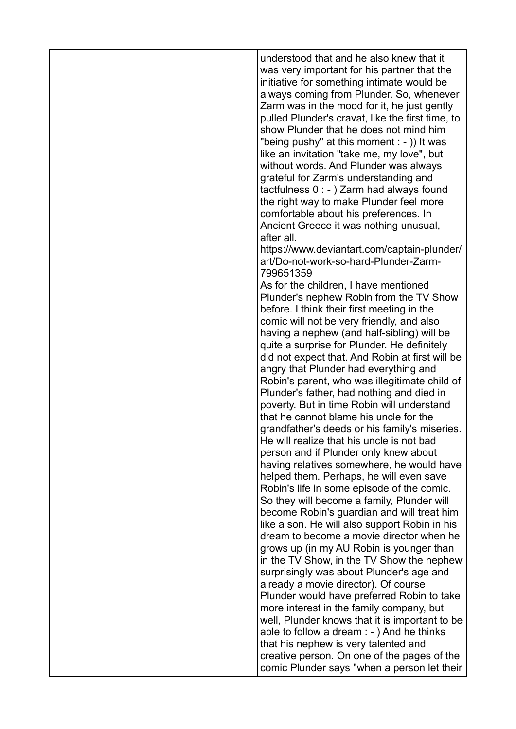understood that and he also knew that it was very important for his partner that the initiative for something intimate would be always coming from Plunder. So, whenever Zarm was in the mood for it, he just gently pulled Plunder's cravat, like the first time, to show Plunder that he does not mind him "being pushy" at this moment : - )) It was like an invitation "take me, my love", but without words. And Plunder was always grateful for Zarm's understanding and tactfulness 0 : - ) Zarm had always found the right way to make Plunder feel more comfortable about his preferences. In Ancient Greece it was nothing unusual, after all.

https://www.deviantart.com/captain-plunder/ art/Do-not-work-so-hard-Plunder-Zarm-799651359

As for the children, I have mentioned Plunder's nephew Robin from the TV Show before. I think their first meeting in the comic will not be very friendly, and also having a nephew (and half-sibling) will be quite a surprise for Plunder. He definitely did not expect that. And Robin at first will be angry that Plunder had everything and Robin's parent, who was illegitimate child of Plunder's father, had nothing and died in poverty. But in time Robin will understand that he cannot blame his uncle for the grandfather's deeds or his family's miseries. He will realize that his uncle is not bad person and if Plunder only knew about having relatives somewhere, he would have helped them. Perhaps, he will even save Robin's life in some episode of the comic. So they will become a family, Plunder will become Robin's guardian and will treat him like a son. He will also support Robin in his dream to become a movie director when he grows up (in my AU Robin is younger than in the TV Show, in the TV Show the nephew surprisingly was about Plunder's age and already a movie director). Of course Plunder would have preferred Robin to take more interest in the family company, but well, Plunder knows that it is important to be able to follow a dream : - ) And he thinks that his nephew is very talented and creative person. On one of the pages of the comic Plunder says "when a person let their